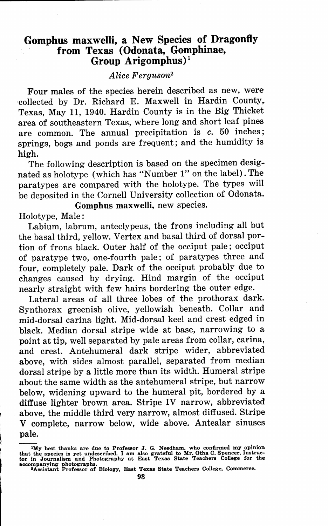# **Gomphus maxwelli, a New Species of Dragonfly from Texas** ( **Odonata, Gompbinae, Group Arigomphus)** <sup>1</sup>

### *Alice Ferguson<sup>2</sup>*

Four males of the species herein described as new, were collected by Dr. Richard E. Maxwell in Hardin County. Texas, May 11, 1940. Hardin County is in the Big Thicket area of southeastern Texas, where long and short leaf pines are common. The annual precipitation is *c.* 50 inches; springs, bogs and ponds are frequent; and the humidity is **high.** 

The following description is based on the specimen designated as holotype (which has "Number l" on the label). The paratypes are compared with the holotype. The types will be deposited in the Cornell University collection of Odonata.

**Gomphus maxwelli,** new species. Holotype, Male :

Labium, labrum, anteclypeus, the frons including all but the basal third, yellow. Vertex and basal third of dorsal portion of frons black. Outer half of the occiput pale; occiput of paratype two, one-fourth pale; of paratypes three and four, completely pale. Dark of the occiput probably due to changes caused by drying. Hind margin of the occiput nearly straight with few hairs bordering the outer edge.

Lateral areas of all three lobes of the prothorax dark. Synthorax greenish olive, yellowish beneath. Collar and mid-dorsal carina light. Mid-dorsal keel and crest edged in black. Median dorsal stripe wide at base, narrowing to a point at tip, well separated by pale areas from collar, carina, and crest. Antehumeral dark stripe wider, abbreviated above, with sides almost parallel, separated from median dorsal stripe by a little more than its width. Humeral stripe about the same width as the antehumeral stripe, but narrow below, widening upward to the humeral pit, bordered by a diffuse lighter brown area. Stripe IV narrow, abbreviated above, the middle third very narrow, almost diffused. Stripe V complete, narrow below, wide above. Antealar sinuses pale.

**IMy** best thanks are due to Professor J. G. Needham, who confirmed my opinion<br>that the species is yet undescribed. I am also grateful to Mr. Otha C. Spencer, Instruc-<br>tor in Journalism and Photography at East Texas State accompanying photographs. •Assistant Professor of Biology, East Texas State Teachers College, Commerce.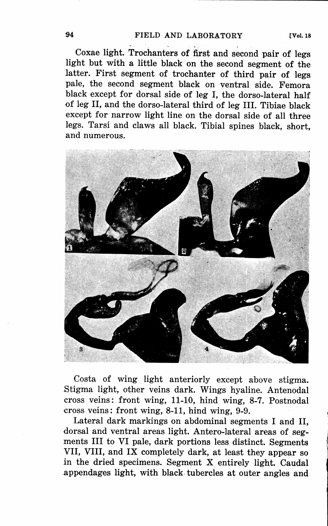Coxae light. Trochanters of first and second pair of legs light but with a little black on the second segment of the latter. First segment of trochanter of third pair of legs pale, the second segment black on ventral side. Femora black except for dorsal side of leg I, the dorso-lateral half of leg II, and the dorso-lateral third of leg III. Tibiae black except for narrow light line on the dorsal side of all three legs. Tarsi and claws all black. Tibial spines black, short, and numerous.



Costa of wing light anteriorly except above stigma. Stigma light, other veins dark. Wings hyaline. Antenodal cross veins: front wing, 11-10, hind wing, **8-7.** Postnodal cross veins: front wing, 8-11, hind wing, 9-9.

Lateral dark markings on abdominal segments I and II, dorsal and ventral areas light. Antero-lateral areas of segments III to VI pale, dark portions less distinct. Segments VII, VIII, and IX completely dark, at least they appear so in the dried specimens. Segment X entirely light. Caudal appendages light, with black tubercles at outer angles and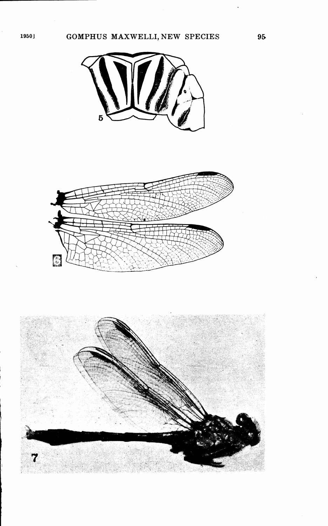